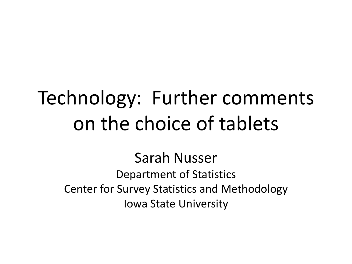### Technology: Further comments on the choice of tablets

Sarah Nusser

Department of Statistics Center for Survey Statistics and Methodology Iowa State University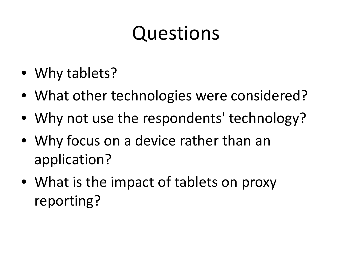## Questions

- Why tablets?
- What other technologies were considered?
- Why not use the respondents' technology?
- Why focus on a device rather than an application?
- What is the impact of tablets on proxy reporting?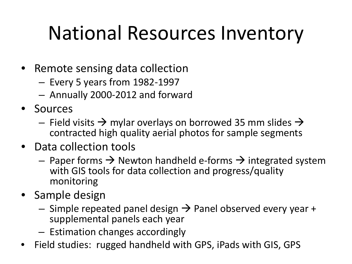## National Resources Inventory

- Remote sensing data collection
	- Every 5 years from 1982-1997
	- Annually 2000-2012 and forward
- Sources
	- Field visits  $\rightarrow$  mylar overlays on borrowed 35 mm slides  $\rightarrow$ contracted high quality aerial photos for sample segments
- Data collection tools
	- Paper forms  $\rightarrow$  Newton handheld e-forms  $\rightarrow$  integrated system with GIS tools for data collection and progress/quality monitoring
- Sample design
	- $-$  Simple repeated panel design  $\rightarrow$  Panel observed every year + supplemental panels each year
	- Estimation changes accordingly
- Field studies: rugged handheld with GPS, iPads with GIS, GPS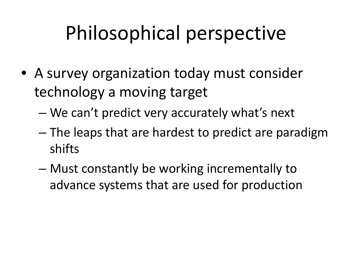# Philosophical perspective

- A survey organization today must consider technology a moving target
	- We can't predict very accurately what's next
	- The leaps that are hardest to predict are paradigm shifts
	- Must constantly be working incrementally to advance systems that are used for production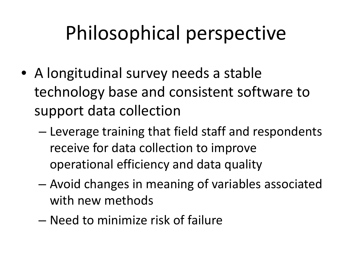# Philosophical perspective

- A longitudinal survey needs a stable technology base and consistent software to support data collection
	- Leverage training that field staff and respondents receive for data collection to improve operational efficiency and data quality
	- Avoid changes in meaning of variables associated with new methods
	- Need to minimize risk of failure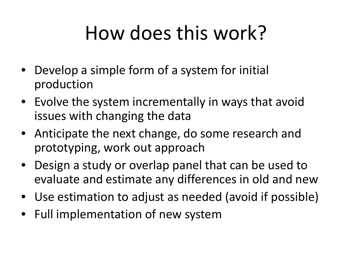## How does this work?

- Develop a simple form of a system for initial production
- Evolve the system incrementally in ways that avoid issues with changing the data
- Anticipate the next change, do some research and prototyping, work out approach
- Design a study or overlap panel that can be used to evaluate and estimate any differences in old and new
- Use estimation to adjust as needed (avoid if possible)
- Full implementation of new system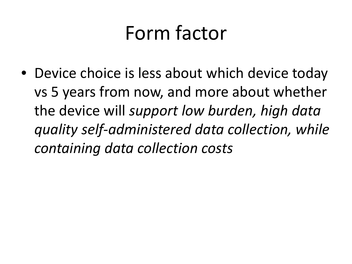#### Form factor

• Device choice is less about which device today vs 5 years from now, and more about whether the device will *support low burden, high data quality self-administered data collection, while containing data collection costs*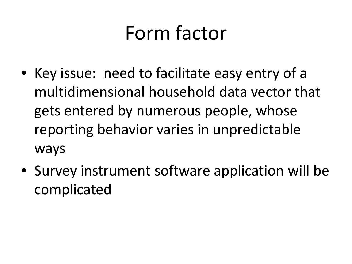#### Form factor

- Key issue: need to facilitate easy entry of a multidimensional household data vector that gets entered by numerous people, whose reporting behavior varies in unpredictable ways
- Survey instrument software application will be complicated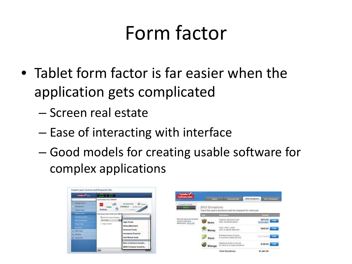#### Form factor

- Tablet form factor is far easier when the application gets complicated
	- Screen real estate
	- Ease of interacting with interface
	- Good models for creating usable software for complex applications

| <b><i><u><b>Reductor of Content</b></u></i></b>                                                                                                                                                                     | <b>SEXUS 1 5042</b>                                                                                                                                                                                                                                                                                                                           | $-1 - 1$                                                   |
|---------------------------------------------------------------------------------------------------------------------------------------------------------------------------------------------------------------------|-----------------------------------------------------------------------------------------------------------------------------------------------------------------------------------------------------------------------------------------------------------------------------------------------------------------------------------------------|------------------------------------------------------------|
| N. Gin Sons<br><sup>2</sup> Manage Personal<br>Personnel Inde-<br>- Federal Times<br><b>Mayor &amp; Hookey</b><br><b>September &amp; Contract</b><br>One To Shares<br><b>Finance Rowses</b><br><b>Birth Chester</b> | Let Us Eloisi Your 1099-INT<br><b>CT ANSWERSH</b><br>off<br><b>CHASE O</b> DOMINARY<br>Scattrade<br>LEGISLACASCAR :<br>Henride your want to enter your 1000-90<br>C inquirings my town article hand<br>в<br><b>Fat To Send</b><br>Alger Funds<br>C INSAFER PUMP<br><b>AllianceBorratein</b><br>Arterican Funds<br><b>Ameriprise Financial</b> |                                                            |
| <b>U.S. Mary Taxes</b><br>Du Wrep4b 1                                                                                                                                                                               |                                                                                                                                                                                                                                                                                                                                               |                                                            |
| C Pint & Fla.                                                                                                                                                                                                       |                                                                                                                                                                                                                                                                                                                                               | Ariel Mutual funds                                         |
|                                                                                                                                                                                                                     |                                                                                                                                                                                                                                                                                                                                               | Banc of Arrentos Investm.<br><b>BENA Compass Investme.</b> |
|                                                                                                                                                                                                                     | <b>Salt</b>                                                                                                                                                                                                                                                                                                                                   |                                                            |

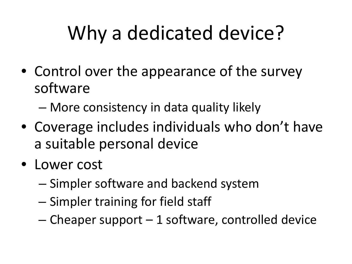# Why a dedicated device?

- Control over the appearance of the survey software
	- More consistency in data quality likely
- Coverage includes individuals who don't have a suitable personal device
- Lower cost
	- Simpler software and backend system
	- Simpler training for field staff
	- $-$  Cheaper support  $-1$  software, controlled device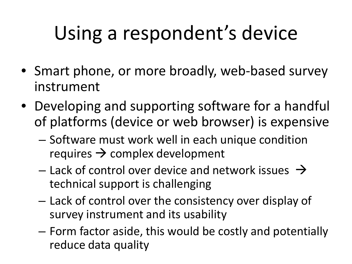# Using a respondent's device

- Smart phone, or more broadly, web-based survey instrument
- Developing and supporting software for a handful of platforms (device or web browser) is expensive
	- Software must work well in each unique condition requires  $\rightarrow$  complex development
	- Lack of control over device and network issues  $\rightarrow$ technical support is challenging
	- Lack of control over the consistency over display of survey instrument and its usability
	- Form factor aside, this would be costly and potentially reduce data quality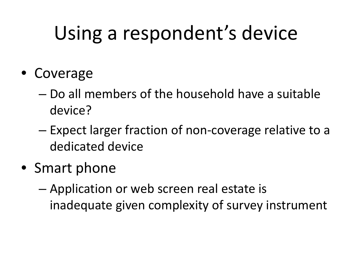## Using a respondent's device

- Coverage
	- Do all members of the household have a suitable device?
	- Expect larger fraction of non-coverage relative to a dedicated device
- Smart phone
	- Application or web screen real estate is inadequate given complexity of survey instrument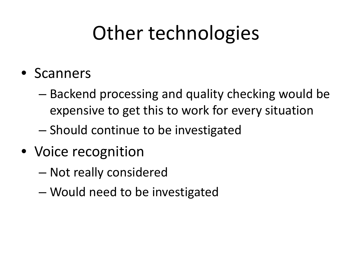## Other technologies

- Scanners
	- Backend processing and quality checking would be expensive to get this to work for every situation
	- Should continue to be investigated
- Voice recognition
	- Not really considered
	- Would need to be investigated